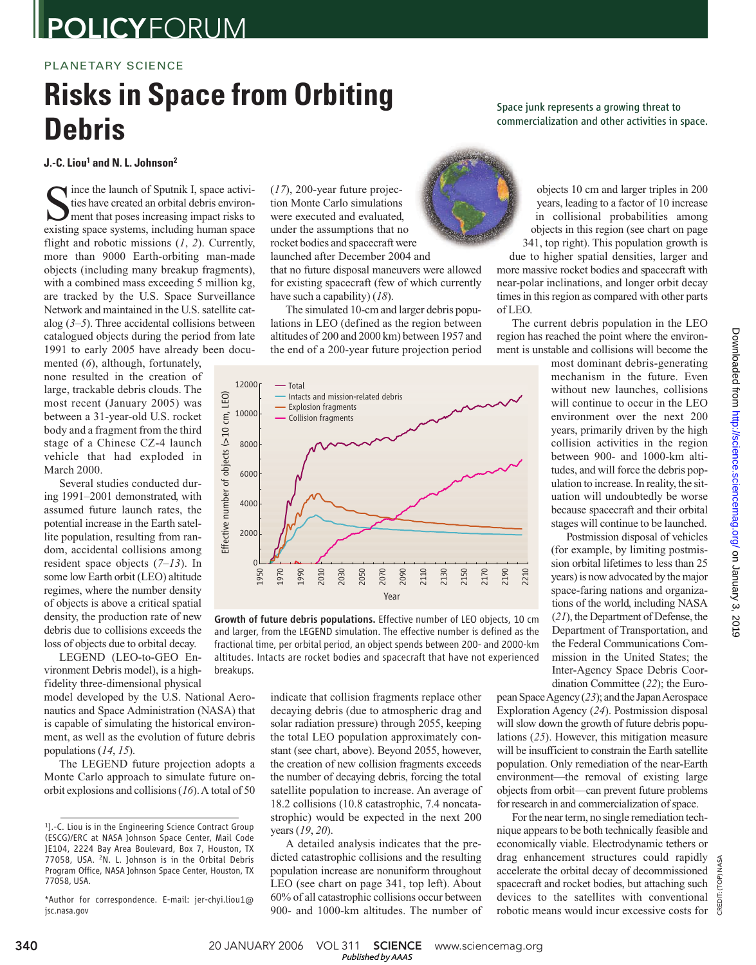# **POLICYFORUM**

### PLANETARY SCIENCE

# **Risks in Space from Orbiting Debris**

**J.-C. Liou<sup>1</sup> and N. L. Johnson<sup>2</sup>**

S ince the launch of Sputnik I, space activities have created an orbital debris environment that poses increasing impact risks to existing space systems, including human space ince the launch of Sputnik I, space activities have created an orbital debris environment that poses increasing impact risks to flight and robotic missions (*1*, *2*). Currently, more than 9000 Earth-orbiting man-made objects (including many breakup fragments), with a combined mass exceeding 5 million kg, are tracked by the U.S. Space Surveillance Network and maintained in the U.S. satellite catalog (*3*–*5*). Three accidental collisions between catalogued objects during the period from late 1991 to early 2005 have already been docu-

mented (*6*), although, fortunately, none resulted in the creation of large, trackable debris clouds. The most recent (January 2005) was between a 31-year-old U.S. rocket body and a fragment from the third stage of a Chinese CZ-4 launch vehicle that had exploded in March 2000.

Several studies conducted during 1991–2001 demonstrated, with assumed future launch rates, the potential increase in the Earth satellite population, resulting from random, accidental collisions among resident space objects (*7*–*13*). In some low Earth orbit (LEO) altitude regimes, where the number density of objects is above a critical spatial density, the production rate of new debris due to collisions exceeds the loss of objects due to orbital decay.

LEGEND (LEO-to-GEO Environment Debris model), is a highfidelity three-dimensional physical

model developed by the U.S. National Aeronautics and Space Administration (NASA) that is capable of simulating the historical environment, as well as the evolution of future debris populations (*14*, *15*).

The LEGEND future projection adopts a Monte Carlo approach to simulate future onorbit explosions and collisions (*16*). A total of 50 (*17*), 200-year future projection Monte Carlo simulations were executed and evaluated, under the assumptions that no rocket bodies and spacecraft were launched after December 2004 and that no future disposal maneuvers were allowed for existing spacecraft (few of which currently have such a capability) (*18*).

The simulated 10-cm and larger debris populations in LEO (defined as the region between altitudes of 200 and 2000 km) between 1957 and the end of a 200-year future projection period



Growth of future debris populations. Effective number of LEO objects, 10 cm and larger, from the LEGEND simulation. The effective number is defined as the fractional time, per orbital period, an object spends between 200- and 2000-km altitudes. Intacts are rocket bodies and spacecraft that have not experienced breakups.

indicate that collision fragments replace other decaying debris (due to atmospheric drag and solar radiation pressure) through 2055, keeping the total LEO population approximately constant (see chart, above). Beyond 2055, however, the creation of new collision fragments exceeds the number of decaying debris, forcing the total satellite population to increase. An average of 18.2 collisions (10.8 catastrophic, 7.4 noncatastrophic) would be expected in the next 200 years (*19*, *20*).

A detailed analysis indicates that the predicted catastrophic collisions and the resulting population increase are nonuniform throughout LEO (see chart on page 341, top left). About 60% of all catastrophic collisions occur between 900- and 1000-km altitudes. The number of Space junk represents a growing threat to commercialization and other activities in space.

> objects 10 cm and larger triples in 200 years, leading to a factor of 10 increase in collisional probabilities among objects in this region (see chart on page 341, top right). This population growth is

due to higher spatial densities, larger and more massive rocket bodies and spacecraft with near-polar inclinations, and longer orbit decay times in this region as compared with other parts of LEO.

The current debris population in the LEO region has reached the point where the environment is unstable and collisions will become the

> most dominant debris-generating mechanism in the future. Even without new launches, collisions will continue to occur in the LEO environment over the next 200 years, primarily driven by the high collision activities in the region between 900- and 1000-km altitudes, and will force the debris population to increase. In reality, the situation will undoubtedly be worse because spacecraft and their orbital stages will continue to be launched.

> Postmission disposal of vehicles (for example, by limiting postmission orbital lifetimes to less than 25 years) is now advocated by the major space-faring nations and organizations of the world, including NASA (*21*), the Department of Defense, the Department of Transportation, and the Federal Communications Commission in the United States; the Inter-Agency Space Debris Coordination Committee (*22*); the Euro-

pean Space Agency (*23*); and the Japan Aerospace Exploration Agency (*24*). Postmission disposal will slow down the growth of future debris populations (*25*). However, this mitigation measure will be insufficient to constrain the Earth satellite population. Only remediation of the near-Earth environment—the removal of existing large objects from orbit—can prevent future problems for research in and commercialization of space.

For the near term, no single remediation technique appears to be both technically feasible and economically viable. Electrodynamic tethers or drag enhancement structures could rapidly accelerate the orbital decay of decommissioned spacecraft and rocket bodies, but attaching such devices to the satellites with conventional robotic means would incur excessive costs for

CREDIT: (TOP) NASA

NASA (TOP)

<sup>&</sup>lt;sup>1</sup>].-C. Liou is in the Engineering Science Contract Group (ESCG)/ERC at NASA Johnson Space Center, Mail Code JE104, 2224 Bay Area Boulevard, Box 7, Houston, TX 77058, USA. <sup>2</sup>N. L. Johnson is in the Orbital Debris Program Office, NASA Johnson Space Center, Houston, TX 77058, USA.

<sup>\*</sup>Author for correspondence. E-mail: jer-chyi.liou1@ jsc.nasa.gov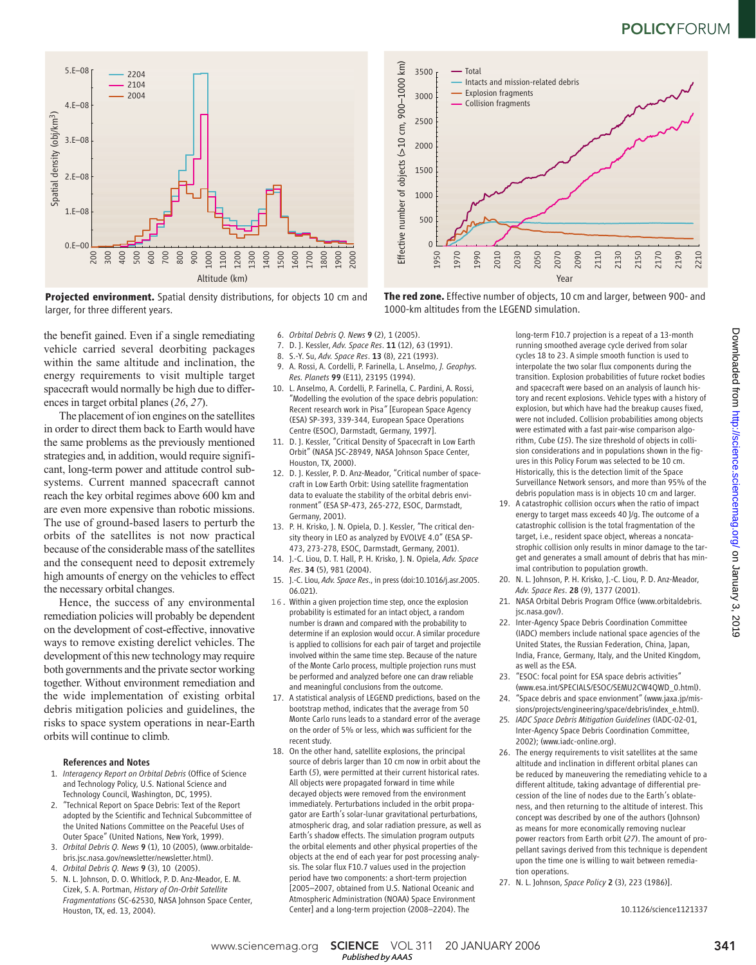## **POLICYFORUM**





the benefit gained. Even if a single remediating vehicle carried several deorbiting packages within the same altitude and inclination, the energy requirements to visit multiple target spacecraft would normally be high due to differences in target orbital planes (*26*, *27*).

The placement of ion engines on the satellites in order to direct them back to Earth would have the same problems as the previously mentioned strategies and, in addition, would require significant, long-term power and attitude control subsystems. Current manned spacecraft cannot reach the key orbital regimes above 600 km and are even more expensive than robotic missions. The use of ground-based lasers to perturb the orbits of the satellites is not now practical because of the considerable mass of the satellites and the consequent need to deposit extremely high amounts of energy on the vehicles to effect the necessary orbital changes.

Hence, the success of any environmental remediation policies will probably be dependent on the development of cost-effective, innovative ways to remove existing derelict vehicles. The development of this new technology may require both governments and the private sector working together. Without environment remediation and the wide implementation of existing orbital debris mitigation policies and guidelines, the risks to space system operations in near-Earth orbits will continue to climb.

#### References and Notes

- 1. *Interagency Report on Orbital Debris* (Office of Science and Technology Policy, U.S. National Science and Technology Council, Washington, DC, 1995).
- 2. "Technical Report on Space Debris: Text of the Report adopted by the Scientific and Technical Subcommittee of the United Nations Committee on the Peaceful Uses of Outer Space" (United Nations, New York, 1999).
- 3. *Orbital Debris Q. News* 9 (1), 10 (2005), (www.orbitaldebris.jsc.nasa.gov/newsletter/newsletter.html).
- 4. *Orbital Debris Q. News* 9 (3), 10 (2005).
- 5. N. L. Johnson, D. O. Whitlock, P. D. Anz-Meador, E. M. Cizek, S. A. Portman, *History of On-Orbit Satellite Fragmentations* (SC-62530, NASA Johnson Space Center, Houston, TX, ed. 13, 2004).
- 6. *Orbital Debris Q. News* 9 (2), 1 (2005).
- 7. D. J. Kessler, *Adv. Space Res*. 11 (12), 63 (1991).
- 8. S.-Y. Su, *Adv. Space Res*. 13 (8), 221 (1993).
- 9. A. Rossi, A. Cordelli, P. Farinella, L. Anselmo, *J. Geophys. Res. Planets* 99 (E11), 23195 (1994).
- 10. L. Anselmo, A. Cordelli, P. Farinella, C. Pardini, A. Rossi, "Modelling the evolution of the space debris population: Recent research work in Pisa*"* [European Space Agency (ESA) SP-393, 339-344, European Space Operations Centre (ESOC), Darmstadt, Germany, 1997].
- 11. D. J. Kessler, "Critical Density of Spacecraft in Low Earth Orbit" (NASA JSC-28949, NASA Johnson Space Center, Houston, TX, 2000).
- 12. D. J. Kessler, P. D. Anz-Meador, "Critical number of spacecraft in Low Earth Orbit: Using satellite fragmentation data to evaluate the stability of the orbital debris environment" (ESA SP-473, 265-272, ESOC, Darmstadt, Germany, 2001).
- 13. P. H. Krisko, J. N. Opiela, D. J. Kessler, "The critical density theory in LEO as analyzed by EVOLVE 4.0" (ESA SP-473, 273-278, ESOC, Darmstadt, Germany, 2001).
- 14. J.-C. Liou, D. T. Hall, P. H. Krisko, J. N. Opiela, *Adv. Space Res*. 34 (5), 981 (2004).
- 15. J.-C. Liou, *Adv. Space Res*., in press (doi:10.1016/j.asr.2005. 06.021).
- 16. Within a given projection time step, once the explosion probability is estimated for an intact object, a random number is drawn and compared with the probability to determine if an explosion would occur. A similar procedure is applied to collisions for each pair of target and projectile involved within the same time step. Because of the nature of the Monte Carlo process, multiple projection runs must be performed and analyzed before one can draw reliable and meaningful conclusions from the outcome.
- 17. A statistical analysis of LEGEND predictions, based on the bootstrap method, indicates that the average from 50 Monte Carlo runs leads to a standard error of the average on the order of 5% or less, which was sufficient for the recent study.
- 18. On the other hand, satellite explosions, the principal source of debris larger than 10 cm now in orbit about the Earth (*5*), were permitted at their current historical rates. All objects were propagated forward in time while decayed objects were removed from the environment immediately. Perturbations included in the orbit propagator are Earth's solar-lunar gravitational perturbations, atmospheric drag, and solar radiation pressure, as well as Earth's shadow effects. The simulation program outputs the orbital elements and other physical properties of the objects at the end of each year for post processing analysis. The solar flux F10.7 values used in the projection period have two components: a short-term projection [2005–2007, obtained from U.S. National Oceanic and Atmospheric Administration (NOAA) Space Environment Center] and a long-term projection (2008–2204). The



**The red zone.** Effective number of objects, 10 cm and larger, between 900- and 1000-km altitudes from the LEGEND simulation.

long-term F10.7 projection is a repeat of a 13-month running smoothed average cycle derived from solar cycles 18 to 23. A simple smooth function is used to interpolate the two solar flux components during the transition. Explosion probabilities of future rocket bodies and spacecraft were based on an analysis of launch history and recent explosions. Vehicle types with a history of explosion, but which have had the breakup causes fixed, were not included. Collision probabilities among objects were estimated with a fast pair-wise comparison algorithm, Cube (*15*). The size threshold of objects in collision considerations and in populations shown in the figures in this Policy Forum was selected to be 10 cm. Historically, this is the detection limit of the Space Surveillance Network sensors, and more than 95% of the debris population mass is in objects 10 cm and larger.

- 19. A catastrophic collision occurs when the ratio of impact energy to target mass exceeds 40 J/g. The outcome of a catastrophic collision is the total fragmentation of the target, i.e., resident space object, whereas a noncatastrophic collision only results in minor damage to the target and generates a small amount of debris that has minimal contribution to population growth.
- 20. N. L. Johnson, P. H. Krisko, J.-C. Liou, P. D. Anz-Meador, *Adv. Space Res*. 28 (9), 1377 (2001).
- 21. NASA Orbital Debris Program Office (www.orbitaldebris. jsc.nasa.gov/).
- 22. Inter-Agency Space Debris Coordination Committee (IADC) members include national space agencies of the United States, the Russian Federation, China, Japan, India, France, Germany, Italy, and the United Kingdom, as well as the ESA.
- 23. "ESOC: focal point for ESA space debris activities" (www.esa.int/SPECIALS/ESOC/SEMU2CW4QWD\_0.html).
- 24. "Space debris and space envionment" (www.jaxa.jp/missions/projects/engineering/space/debris/index\_e.html).
- 25*. IADC Space Debris Mitigation Guidelines* (IADC-02-01, Inter-Agency Space Debris Coordination Committee, 2002); (www.iadc-online.org).
- 26. The energy requirements to visit satellites at the same altitude and inclination in different orbital planes can be reduced by maneuvering the remediating vehicle to a different altitude, taking advantage of differential precession of the line of nodes due to the Earth's oblateness, and then returning to the altitude of interest. This concept was described by one of the authors (Johnson) as means for more economically removing nuclear power reactors from Earth orbit (*27*). The amount of propellant savings derived from this technique is dependent upon the time one is willing to wait between remediation operations.
- 27. N. L. Johnson, *Space Policy* 2 (3), 223 (1986)].

10.1126/science1121337